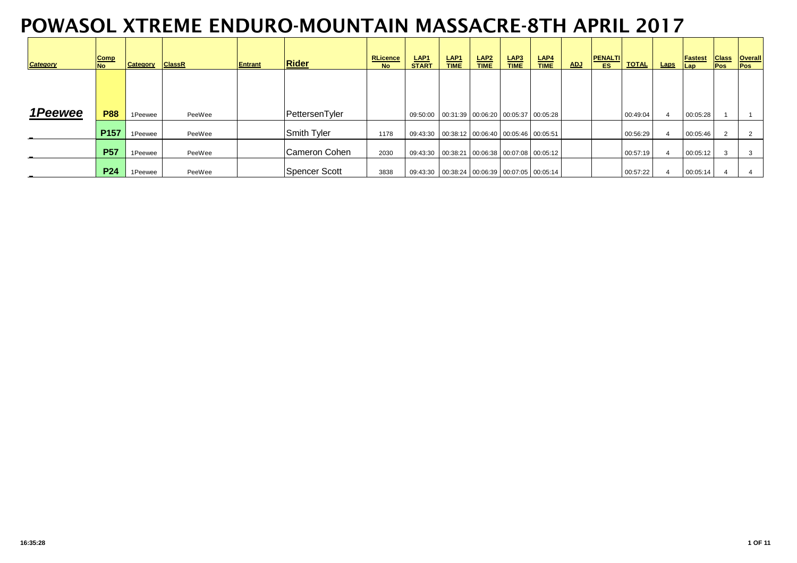| <b>Category</b> | Comp<br><b>No</b> | Category | <b>ClassR</b> | <b>Entrant</b> | <b>Rider</b>   | <b>RLicence</b><br><b>No</b> | LAP <sub>1</sub><br><b>START</b>                 | LAP <sub>1</sub><br><b>TIME</b> | LAP <sub>2</sub><br><b>TIME</b> | LAP3<br><b>TIME</b> | LAP4<br><b>TIME</b> | <b>ADJ</b> | <b>PENALTI</b><br>ES. | <b>TOTAL</b> | <b>Laps</b> | <b>Fastest</b><br>Lap | <b>Class</b><br><b>Pos</b> | <b>Overall</b><br><b>Pos</b> |
|-----------------|-------------------|----------|---------------|----------------|----------------|------------------------------|--------------------------------------------------|---------------------------------|---------------------------------|---------------------|---------------------|------------|-----------------------|--------------|-------------|-----------------------|----------------------------|------------------------------|
|                 |                   |          |               |                |                |                              |                                                  |                                 |                                 |                     |                     |            |                       |              |             |                       |                            |                              |
| 1Peewee         | <b>P88</b>        | 1Peewee  | PeeWee        |                | PettersenTyler |                              | 09:50:00  00:31:39  00:06:20  00:05:37  00:05:28 |                                 |                                 |                     |                     |            |                       | 00:49:04     |             | 00:05:28              |                            |                              |
| $\blacksquare$  | P <sub>157</sub>  | 1Peewee  | PeeWee        |                | Smith Tyler    | 1178                         | 09:43:30  00:38:12  00:06:40  00:05:46  00:05:51 |                                 |                                 |                     |                     |            |                       | 00:56:29     |             | 00:05:46              | $\overline{2}$             | $\overline{2}$               |
| $\sim$          | <b>P57</b>        | 1Peewee  | PeeWee        |                | Cameron Cohen  | 2030                         | 09:43:30  00:38:21  00:06:38  00:07:08  00:05:12 |                                 |                                 |                     |                     |            |                       | 00:57:19     |             | 00:05:12              | 3                          |                              |
|                 | <b>P24</b>        | 1Peewee  | PeeWee        |                | Spencer Scott  | 3838                         | 09:43:30  00:38:24  00:06:39  00:07:05  00:05:14 |                                 |                                 |                     |                     |            |                       | 00:57:22     |             | 00:05:14              |                            |                              |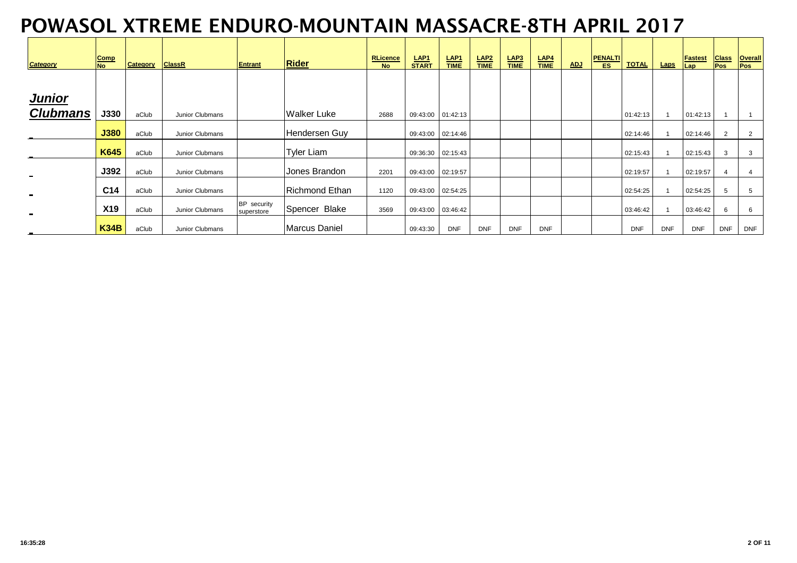| <b>Category</b> | Comp<br><b>No</b> | Category | <b>ClassR</b>   | <b>Entrant</b>            | <b>Rider</b>          | <b>RLicence</b><br><b>No</b> | LAP <sub>1</sub><br><b>START</b> | LAP <sub>1</sub><br><b>TIME</b> | $rac{\text{LAP2}}{\text{TIME}}$ | LAP3<br><b>TIME</b> | LAP4<br><b>TIME</b> | <b>ADJ</b> | <b>PENALTI</b><br>ES. | <b>TOTAL</b> | Laps       | <b>Fastest</b><br>Lap | <b>Class</b><br><b>Pos</b> | <b>Overall</b><br><b>Pos</b> |
|-----------------|-------------------|----------|-----------------|---------------------------|-----------------------|------------------------------|----------------------------------|---------------------------------|---------------------------------|---------------------|---------------------|------------|-----------------------|--------------|------------|-----------------------|----------------------------|------------------------------|
|                 |                   |          |                 |                           |                       |                              |                                  |                                 |                                 |                     |                     |            |                       |              |            |                       |                            |                              |
| <b>Junior</b>   |                   |          |                 |                           |                       |                              |                                  |                                 |                                 |                     |                     |            |                       |              |            |                       |                            |                              |
| <b>Clubmans</b> | <b>J330</b>       | aClub    | Junior Clubmans |                           | Walker Luke           | 2688                         | 09:43:00 01:42:13                |                                 |                                 |                     |                     |            |                       | 01:42:13     |            | 01:42:13              |                            |                              |
| $\blacksquare$  | <b>J380</b>       | aClub    | Junior Clubmans |                           | Hendersen Guy         |                              | 09:43:00 02:14:46                |                                 |                                 |                     |                     |            |                       | 02:14:46     |            | 02:14:46              | 2                          | $\overline{2}$               |
| $\blacksquare$  | <b>K645</b>       | aClub    | Junior Clubmans |                           | <b>Tyler Liam</b>     |                              | 09:36:30 02:15:43                |                                 |                                 |                     |                     |            |                       | 02:15:43     |            | 02:15:43              | 3                          | 3                            |
| $\blacksquare$  | J392              | aClub    | Junior Clubmans |                           | Jones Brandon         | 2201                         | 09:43:00 02:19:57                |                                 |                                 |                     |                     |            |                       | 02:19:57     |            | 02:19:57              | 4                          | $\overline{4}$               |
| $\blacksquare$  | C14               | aClub    | Junior Clubmans |                           | <b>Richmond Ethan</b> | 1120                         | 09:43:00 02:54:25                |                                 |                                 |                     |                     |            |                       | 02:54:25     |            | 02:54:25              | 5                          | 5                            |
| $\blacksquare$  | <b>X19</b>        | aClub    | Junior Clubmans | BP security<br>superstore | Spencer Blake         | 3569                         | 09:43:00  03:46:42               |                                 |                                 |                     |                     |            |                       | 03:46:42     |            | 03:46:42              | 6                          | 6                            |
|                 | <b>K34B</b>       | aClub    | Junior Clubmans |                           | Marcus Daniel         |                              | 09:43:30                         | <b>DNF</b>                      | <b>DNF</b>                      | <b>DNF</b>          | <b>DNF</b>          |            |                       | <b>DNF</b>   | <b>DNF</b> | <b>DNF</b>            | <b>DNF</b>                 | <b>DNF</b>                   |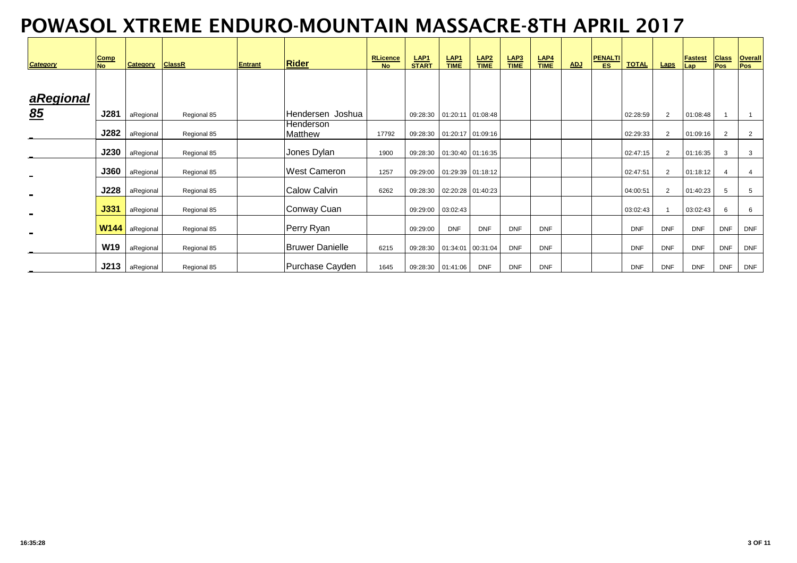| <b>Category</b> | <b>Comp</b><br><b>No</b> | <b>Category</b> | <b>ClassR</b> | <b>Entrant</b> | <b>Rider</b>           | <b>RLicence</b><br><b>No</b> | LAP <sub>1</sub><br><b>START</b> | <b>LAP1</b><br><b>TIME</b>     | $LAP2\nTIME$                 | LAP3<br><b>TIME</b> | LAP <sub>4</sub><br><b>TIME</b> | <b>ADJ</b> | <b>PENALTI</b><br>ES. | <b>TOTAL</b> | <b>Laps</b>    | <b>Fastest</b><br>Lap | <b>Class</b><br><b>Pos</b> | <b>Overall</b><br><b>Pos</b> |
|-----------------|--------------------------|-----------------|---------------|----------------|------------------------|------------------------------|----------------------------------|--------------------------------|------------------------------|---------------------|---------------------------------|------------|-----------------------|--------------|----------------|-----------------------|----------------------------|------------------------------|
|                 |                          |                 |               |                |                        |                              |                                  |                                |                              |                     |                                 |            |                       |              |                |                       |                            |                              |
| aRegional       |                          |                 |               |                |                        |                              |                                  |                                |                              |                     |                                 |            |                       |              |                |                       |                            |                              |
| 85              | J281                     | aRegional       | Regional 85   |                | Hendersen Joshua       |                              |                                  | 09:28:30   01:20:11   01:08:48 |                              |                     |                                 |            |                       | 02:28:59     | $\overline{2}$ | 01:08:48              |                            | $\overline{1}$               |
|                 | <b>J282</b>              | aRegional       | Regional 85   |                | Henderson<br>Matthew   | 17792                        |                                  |                                | 09:28:30  01:20:17  01:09:16 |                     |                                 |            |                       | 02:29:33     | $\overline{2}$ | 01:09:16              | 2                          | $\overline{2}$               |
| $\blacksquare$  | <b>J230</b>              | aRegional       | Regional 85   |                | Jones Dylan            | 1900                         | 09:28:30                         |                                | 01:30:40 01:16:35            |                     |                                 |            |                       | 02:47:15     | $\overline{2}$ | 01:16:35              | 3                          | 3                            |
| $\blacksquare$  | <b>J360</b>              | aRegional       | Regional 85   |                | West Cameron           | 1257                         | 09:29:00  01:29:39  01:18:12     |                                |                              |                     |                                 |            |                       | 02:47:51     | $\overline{2}$ | 01:18:12              | $\overline{4}$             | $\overline{4}$               |
| $\blacksquare$  | <b>J228</b>              | aRegional       | Regional 85   |                | <b>Calow Calvin</b>    | 6262                         | 09:28:30                         |                                | 02:20:28 01:40:23            |                     |                                 |            |                       | 04:00:51     | $\overline{2}$ | 01:40:23              | 5                          | 5                            |
| $\blacksquare$  | <b>J331</b>              | aRegional       | Regional 85   |                | Conway Cuan            |                              | 09:29:00                         | 03:02:43                       |                              |                     |                                 |            |                       | 03:02:43     |                | 03:02:43              | 6                          | 6                            |
| $\blacksquare$  | <b>W144</b>              | aRegional       | Regional 85   |                | Perry Ryan             |                              | 09:29:00                         | <b>DNF</b>                     | <b>DNF</b>                   | <b>DNF</b>          | <b>DNF</b>                      |            |                       | <b>DNF</b>   | <b>DNF</b>     | <b>DNF</b>            | <b>DNF</b>                 | <b>DNF</b>                   |
| $\blacksquare$  | <b>W19</b>               | aRegional       | Regional 85   |                | <b>Bruwer Danielle</b> | 6215                         |                                  | 09:28:30  01:34:01  00:31:04   |                              | <b>DNF</b>          | DNF                             |            |                       | <b>DNF</b>   | <b>DNF</b>     | <b>DNF</b>            | <b>DNF</b>                 | <b>DNF</b>                   |
|                 | J213                     | aRegional       | Regional 85   |                | Purchase Cayden        | 1645                         | 09:28:30  01:41:06               |                                | <b>DNF</b>                   | <b>DNF</b>          | DNF                             |            |                       | <b>DNF</b>   | <b>DNF</b>     | <b>DNF</b>            | <b>DNF</b>                 | <b>DNF</b>                   |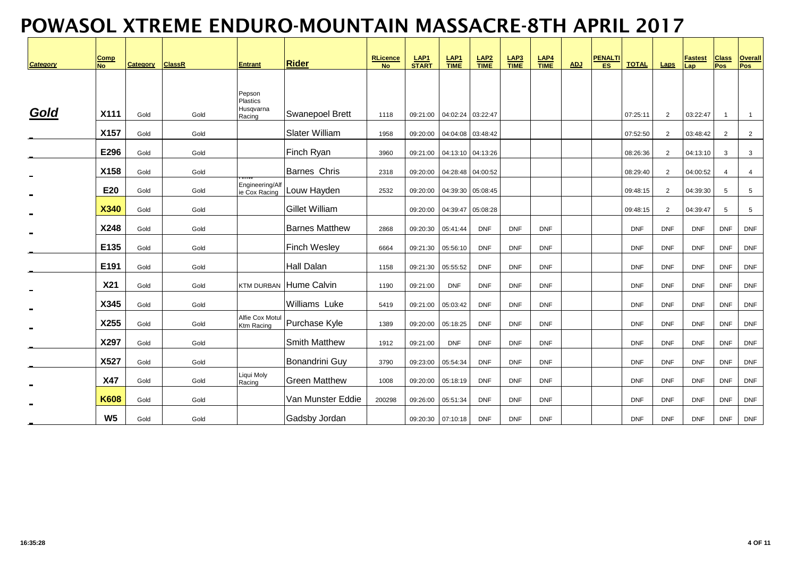| <b>Category</b> | <b>Comp</b><br><b>No</b> | <b>Category</b> | <b>ClassR</b> | <b>Entrant</b>                   | <b>Rider</b>           | <b>RLicence</b><br><b>No</b> | LAP <sub>1</sub><br><b>START</b> | $rac{\text{LAP1}}{\text{TIME}}$ | $rac{\text{LAP2}}{\text{TIME}}$ | $rac{\text{LAP3}}{\text{TIME}}$ | $LAP4$<br>TIME | ADJ | <b>PENALTI</b><br>ES | <b>TOTAL</b> | Laps           | <b>Fastest</b><br>Lap | <b>Class</b><br>Pos | <b>Overall</b><br>Pos |
|-----------------|--------------------------|-----------------|---------------|----------------------------------|------------------------|------------------------------|----------------------------------|---------------------------------|---------------------------------|---------------------------------|----------------|-----|----------------------|--------------|----------------|-----------------------|---------------------|-----------------------|
|                 |                          |                 |               | Pepson<br><b>Plastics</b>        |                        |                              |                                  |                                 |                                 |                                 |                |     |                      |              |                |                       |                     |                       |
| Gold            | X111                     | Gold            | Gold          | Husqvarna<br>Racing              | Swanepoel Brett        | 1118                         | 09:21:00                         | 04:02:24 03:22:47               |                                 |                                 |                |     |                      | 07:25:11     | $\overline{2}$ | 03:22:47              | $\overline{1}$      | $\overline{1}$        |
|                 | X157                     | Gold            | Gold          |                                  | <b>Slater William</b>  | 1958                         | 09:20:00                         | 04:04:08 03:48:42               |                                 |                                 |                |     |                      | 07:52:50     | $\overline{2}$ | 03:48:42              | $\overline{2}$      | $\overline{2}$        |
|                 | E296                     | Gold            | Gold          |                                  | Finch Ryan             | 3960                         | 09:21:00                         | 04:13:10 04:13:26               |                                 |                                 |                |     |                      | 08:26:36     | 2              | 04:13:10              | 3                   | 3                     |
|                 | X158                     | Gold            | Gold          |                                  | <b>Barnes Chris</b>    | 2318                         | 09:20:00                         | 04:28:48 04:00:52               |                                 |                                 |                |     |                      | 08:29:40     | $\overline{2}$ | 04:00:52              | $\overline{4}$      | $\overline{4}$        |
|                 | E20                      | Gold            | Gold          | Engineering/Alf<br>ie Cox Racing | Louw Hayden            | 2532                         | 09:20:00                         | 04:39:30 05:08:45               |                                 |                                 |                |     |                      | 09:48:15     | $\overline{2}$ | 04:39:30              | $5\phantom{.0}$     | 5                     |
|                 | <b>X340</b>              | Gold            | Gold          |                                  | <b>Gillet William</b>  |                              | 09:20:00                         | 04:39:47 05:08:28               |                                 |                                 |                |     |                      | 09:48:15     | $\overline{2}$ | 04:39:47              | 5                   | 5                     |
|                 | X248                     | Gold            | Gold          |                                  | <b>Barnes Matthew</b>  | 2868                         | 09:20:30                         | 05:41:44                        | <b>DNF</b>                      | <b>DNF</b>                      | <b>DNF</b>     |     |                      | <b>DNF</b>   | <b>DNF</b>     | <b>DNF</b>            | <b>DNF</b>          | <b>DNF</b>            |
|                 | E135                     | Gold            | Gold          |                                  | <b>Finch Wesley</b>    | 6664                         | 09:21:30                         | 05:56:10                        | <b>DNF</b>                      | <b>DNF</b>                      | <b>DNF</b>     |     |                      | <b>DNF</b>   | <b>DNF</b>     | <b>DNF</b>            | <b>DNF</b>          | <b>DNF</b>            |
|                 | E191                     | Gold            | Gold          |                                  | <b>Hall Dalan</b>      | 1158                         | 09:21:30                         | 05:55:52                        | <b>DNF</b>                      | <b>DNF</b>                      | <b>DNF</b>     |     |                      | <b>DNF</b>   | <b>DNF</b>     | <b>DNF</b>            | <b>DNF</b>          | <b>DNF</b>            |
|                 | <b>X21</b>               | Gold            | Gold          |                                  | KTM DURBAN Hume Calvin | 1190                         | 09:21:00                         | <b>DNF</b>                      | <b>DNF</b>                      | <b>DNF</b>                      | <b>DNF</b>     |     |                      | <b>DNF</b>   | <b>DNF</b>     | <b>DNF</b>            | <b>DNF</b>          | <b>DNF</b>            |
|                 | X345                     | Gold            | Gold          |                                  | <b>Williams Luke</b>   | 5419                         | 09:21:00                         | 05:03:42                        | <b>DNF</b>                      | <b>DNF</b>                      | <b>DNF</b>     |     |                      | <b>DNF</b>   | <b>DNF</b>     | <b>DNF</b>            | <b>DNF</b>          | <b>DNF</b>            |
|                 | X255                     | Gold            | Gold          | Alfie Cox Motul<br>Ktm Racing    | Purchase Kyle          | 1389                         | 09:20:00                         | 05:18:25                        | <b>DNF</b>                      | <b>DNF</b>                      | <b>DNF</b>     |     |                      | <b>DNF</b>   | <b>DNF</b>     | <b>DNF</b>            | <b>DNF</b>          | <b>DNF</b>            |
|                 | X297                     | Gold            | Gold          |                                  | <b>Smith Matthew</b>   | 1912                         | 09:21:00                         | <b>DNF</b>                      | <b>DNF</b>                      | <b>DNF</b>                      | <b>DNF</b>     |     |                      | <b>DNF</b>   | <b>DNF</b>     | <b>DNF</b>            | <b>DNF</b>          | <b>DNF</b>            |
|                 | X527                     | Gold            | Gold          |                                  | Bonandrini Guy         | 3790                         | 09:23:00                         | 05:54:34                        | <b>DNF</b>                      | <b>DNF</b>                      | <b>DNF</b>     |     |                      | <b>DNF</b>   | <b>DNF</b>     | <b>DNF</b>            | <b>DNF</b>          | <b>DNF</b>            |
|                 | <b>X47</b>               | Gold            | Gold          | Liqui Moly<br>Racing             | <b>Green Matthew</b>   | 1008                         | 09:20:00                         | 05:18:19                        | <b>DNF</b>                      | <b>DNF</b>                      | <b>DNF</b>     |     |                      | <b>DNF</b>   | <b>DNF</b>     | <b>DNF</b>            | <b>DNF</b>          | <b>DNF</b>            |
|                 | <b>K608</b>              | Gold            | Gold          |                                  | Van Munster Eddie      | 200298                       | 09:26:00                         | 05:51:34                        | <b>DNF</b>                      | <b>DNF</b>                      | <b>DNF</b>     |     |                      | <b>DNF</b>   | <b>DNF</b>     | <b>DNF</b>            | <b>DNF</b>          | <b>DNF</b>            |
|                 | W <sub>5</sub>           | Gold            | Gold          |                                  | Gadsby Jordan          |                              | 09:20:30                         | 07:10:18                        | <b>DNF</b>                      | <b>DNF</b>                      | <b>DNF</b>     |     |                      | <b>DNF</b>   | <b>DNF</b>     | <b>DNF</b>            | <b>DNF</b>          | <b>DNF</b>            |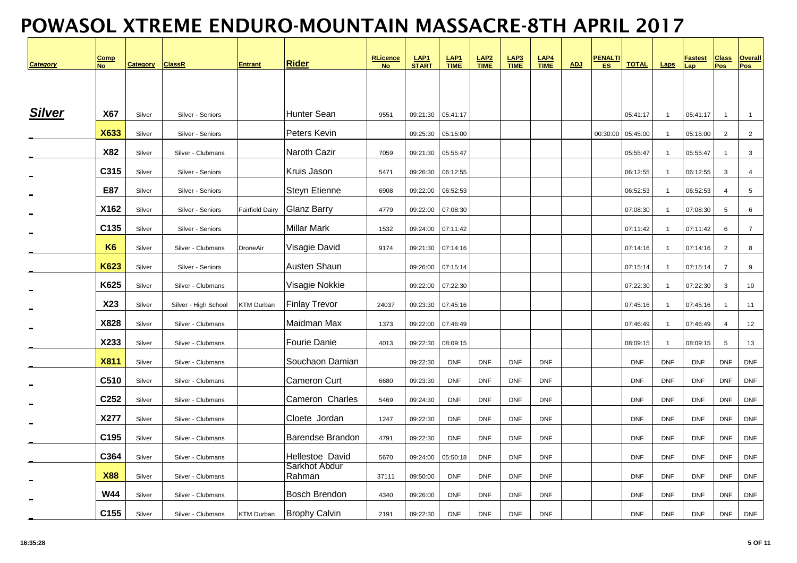| <b>Category</b> | Comp<br>No     | <b>Category</b> | <b>ClassR</b>        | <b>Entrant</b>         | <b>Rider</b>            | RLicence<br>No | LAP <sub>1</sub><br><b>START</b> | LAP <sub>1</sub><br><b>TIME</b> | $LAP2\nTIME$ | $LAP3$<br>$TIME$ | $LAP4$<br>TIME | <b>ADJ</b> | <b>PENALTI</b><br>ES | <b>TOTAL</b> | Laps           | Fastest<br>Lap | <b>Class</b><br>Pos | Overall<br>Pos  |
|-----------------|----------------|-----------------|----------------------|------------------------|-------------------------|----------------|----------------------------------|---------------------------------|--------------|------------------|----------------|------------|----------------------|--------------|----------------|----------------|---------------------|-----------------|
|                 |                |                 |                      |                        |                         |                |                                  |                                 |              |                  |                |            |                      |              |                |                |                     |                 |
| <b>Silver</b>   | <b>X67</b>     | Silver          | Silver - Seniors     |                        | Hunter Sean             | 9551           |                                  | 09:21:30  05:41:17              |              |                  |                |            |                      | 05:41:17     | $\overline{1}$ | 05:41:17       | $\mathbf{1}$        | $\mathbf{1}$    |
|                 | <b>X633</b>    | Silver          | Silver - Seniors     |                        | Peters Kevin            |                |                                  | 09:25:30  05:15:00              |              |                  |                |            | 00:30:00             | 05:45:00     | $\mathbf{1}$   | 05:15:00       | 2                   | $\overline{2}$  |
|                 | X82            | Silver          | Silver - Clubmans    |                        | Naroth Cazir            | 7059           | 09:21:30                         | 05:55:47                        |              |                  |                |            |                      | 05:55:47     | $\mathbf{1}$   | 05:55:47       | $\mathbf{1}$        | 3               |
|                 | C315           | Silver          | Silver - Seniors     |                        | Kruis Jason             | 5471           |                                  | 09:26:30  06:12:55              |              |                  |                |            |                      | 06:12:55     | $\overline{1}$ | 06:12:55       | 3                   | $\overline{4}$  |
|                 | E87            | Silver          | Silver - Seniors     |                        | <b>Steyn Etienne</b>    | 6908           | 09:22:00                         | 06:52:53                        |              |                  |                |            |                      | 06:52:53     | $\mathbf{1}$   | 06:52:53       | $\overline{4}$      | $5\phantom{.0}$ |
|                 | X162           | Silver          | Silver - Seniors     | <b>Fairfield Dairy</b> | <b>Glanz Barry</b>      | 4779           | 09:22:00                         | 07:08:30                        |              |                  |                |            |                      | 07:08:30     | $\mathbf{1}$   | 07:08:30       | 5                   | 6               |
|                 | C135           | Silver          | Silver - Seniors     |                        | <b>Millar Mark</b>      | 1532           | 09:24:00                         | 07:11:42                        |              |                  |                |            |                      | 07:11:42     | $\overline{1}$ | 07:11:42       | 6                   | $\overline{7}$  |
|                 | K <sub>6</sub> | Silver          | Silver - Clubmans    | DroneAir               | Visagie David           | 9174           |                                  | 09:21:30 07:14:16               |              |                  |                |            |                      | 07:14:16     | $\overline{1}$ | 07:14:16       | 2                   | 8               |
|                 | <b>K623</b>    | Silver          | Silver - Seniors     |                        | Austen Shaun            |                |                                  | 09:26:00  07:15:14              |              |                  |                |            |                      | 07:15:14     | $\mathbf{1}$   | 07:15:14       | $\overline{7}$      | 9               |
|                 | K625           | Silver          | Silver - Clubmans    |                        | Visagie Nokkie          |                |                                  | 09:22:00 07:22:30               |              |                  |                |            |                      | 07:22:30     | $\overline{1}$ | 07:22:30       | 3                   | 10              |
|                 | X23            | Silver          | Silver - High School | <b>KTM Durban</b>      | <b>Finlay Trevor</b>    | 24037          |                                  | 09:23:30  07:45:16              |              |                  |                |            |                      | 07:45:16     | $\overline{1}$ | 07:45:16       | $\mathbf{1}$        | 11              |
|                 | X828           | Silver          | Silver - Clubmans    |                        | Maidman Max             | 1373           |                                  | 09:22:00  07:46:49              |              |                  |                |            |                      | 07:46:49     | $\overline{1}$ | 07:46:49       | $\overline{4}$      | 12              |
|                 | X233           | Silver          | Silver - Clubmans    |                        | Fourie Danie            | 4013           | 09:22:30                         | 08:09:15                        |              |                  |                |            |                      | 08:09:15     | $\mathbf{1}$   | 08:09:15       | 5                   | 13              |
|                 | <b>X811</b>    | Silver          | Silver - Clubmans    |                        | Souchaon Damian         |                | 09:22:30                         | <b>DNF</b>                      | <b>DNF</b>   | <b>DNF</b>       | <b>DNF</b>     |            |                      | <b>DNF</b>   | <b>DNF</b>     | <b>DNF</b>     | <b>DNF</b>          | <b>DNF</b>      |
|                 | C510           | Silver          | Silver - Clubmans    |                        | <b>Cameron Curt</b>     | 6680           | 09:23:30                         | <b>DNF</b>                      | <b>DNF</b>   | <b>DNF</b>       | <b>DNF</b>     |            |                      | <b>DNF</b>   | <b>DNF</b>     | <b>DNF</b>     | <b>DNF</b>          | <b>DNF</b>      |
|                 | C252           | Silver          | Silver - Clubmans    |                        | Cameron Charles         | 5469           | 09:24:30                         | <b>DNF</b>                      | <b>DNF</b>   | <b>DNF</b>       | <b>DNF</b>     |            |                      | <b>DNF</b>   | <b>DNF</b>     | <b>DNF</b>     | <b>DNF</b>          | <b>DNF</b>      |
|                 | X277           | Silver          | Silver - Clubmans    |                        | Cloete Jordan           | 1247           | 09:22:30                         | <b>DNF</b>                      | <b>DNF</b>   | <b>DNF</b>       | <b>DNF</b>     |            |                      | <b>DNF</b>   | <b>DNF</b>     | <b>DNF</b>     | <b>DNF</b>          | <b>DNF</b>      |
|                 | C195           | Silver          | Silver - Clubmans    |                        | Barendse Brandon        | 4791           | 09:22:30                         | <b>DNF</b>                      | <b>DNF</b>   | <b>DNF</b>       | <b>DNF</b>     |            |                      | <b>DNF</b>   | <b>DNF</b>     | <b>DNF</b>     | <b>DNF</b>          | <b>DNF</b>      |
|                 | C364           | Silver          | Silver - Clubmans    |                        | Hellestoe David         | 5670           | 09:24:00                         | 05:50:18                        | <b>DNF</b>   | <b>DNF</b>       | <b>DNF</b>     |            |                      | <b>DNF</b>   | <b>DNF</b>     | <b>DNF</b>     | <b>DNF</b>          | <b>DNF</b>      |
|                 | <b>X88</b>     | Silver          | Silver - Clubmans    |                        | Sarkhot Abdur<br>Rahman | 37111          | 09:50:00                         | <b>DNF</b>                      | <b>DNF</b>   | <b>DNF</b>       | <b>DNF</b>     |            |                      | <b>DNF</b>   | <b>DNF</b>     | <b>DNF</b>     | <b>DNF</b>          | <b>DNF</b>      |
|                 | <b>W44</b>     | Silver          | Silver - Clubmans    |                        | <b>Bosch Brendon</b>    | 4340           | 09:26:00                         | <b>DNF</b>                      | <b>DNF</b>   | <b>DNF</b>       | <b>DNF</b>     |            |                      | <b>DNF</b>   | <b>DNF</b>     | <b>DNF</b>     | <b>DNF</b>          | <b>DNF</b>      |
|                 | C155           | Silver          | Silver - Clubmans    | KTM Durban             | <b>Brophy Calvin</b>    | 2191           | 09:22:30                         | <b>DNF</b>                      | <b>DNF</b>   | <b>DNF</b>       | <b>DNF</b>     |            |                      | <b>DNF</b>   | <b>DNF</b>     | <b>DNF</b>     | <b>DNF</b>          | <b>DNF</b>      |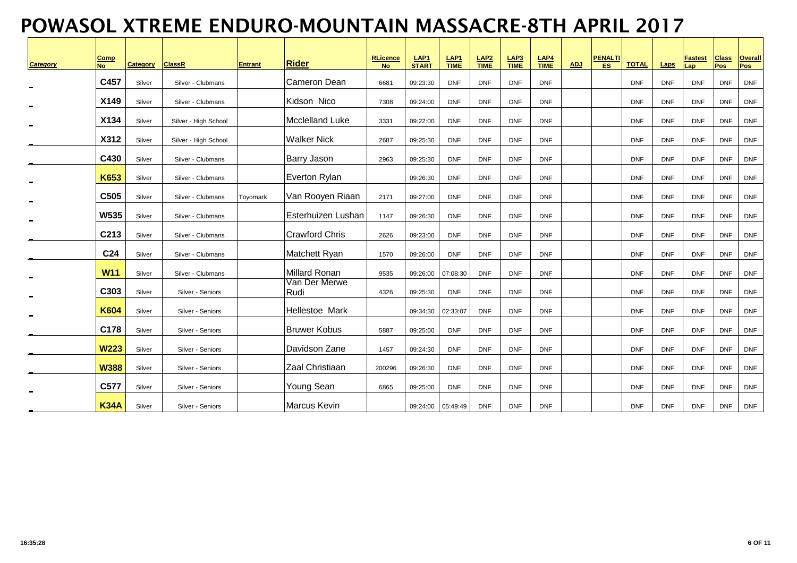| <b>Category</b> | <b>Comp</b><br><b>No</b> | Category | <b>ClassR</b>        | <b>Entrant</b> | <b>Rider</b>           | <b>RLicence</b><br><b>No</b> | LAP <sub>1</sub><br><b>START</b> | LAP <sub>1</sub><br><b>TIME</b> | LAP2<br><b>TIME</b> | LAP3<br><b>TIME</b> | $rac{\text{LAP4}}{\text{TIME}}$ | <b>ADJ</b> | <b>PENALTI</b><br>ES. | <b>TOTAL</b> | Laps       | <u>Fastest</u><br>.ap | <b>Class</b><br>Pos | <b>Overall</b><br>Pos |
|-----------------|--------------------------|----------|----------------------|----------------|------------------------|------------------------------|----------------------------------|---------------------------------|---------------------|---------------------|---------------------------------|------------|-----------------------|--------------|------------|-----------------------|---------------------|-----------------------|
|                 | C457                     | Silver   | Silver - Clubmans    |                | Cameron Dean           | 6681                         | 09:23:30                         | <b>DNF</b>                      | <b>DNF</b>          | <b>DNF</b>          | <b>DNF</b>                      |            |                       | <b>DNF</b>   | <b>DNF</b> | <b>DNF</b>            | <b>DNF</b>          | <b>DNF</b>            |
|                 | X149                     | Silver   | Silver - Clubmans    |                | Kidson Nico            | 7308                         | 09:24:00                         | <b>DNF</b>                      | <b>DNF</b>          | <b>DNF</b>          | <b>DNF</b>                      |            |                       | <b>DNF</b>   | <b>DNF</b> | <b>DNF</b>            | <b>DNF</b>          | <b>DNF</b>            |
|                 | X134                     | Silver   | Silver - High School |                | <b>Mcclelland Luke</b> | 3331                         | 09:22:00                         | <b>DNF</b>                      | <b>DNF</b>          | <b>DNF</b>          | <b>DNF</b>                      |            |                       | <b>DNF</b>   | <b>DNF</b> | <b>DNF</b>            | <b>DNF</b>          | <b>DNF</b>            |
|                 | X312                     | Silver   | Silver - High School |                | <b>Walker Nick</b>     | 2687                         | 09:25:30                         | <b>DNF</b>                      | <b>DNF</b>          | <b>DNF</b>          | <b>DNF</b>                      |            |                       | <b>DNF</b>   | <b>DNF</b> | <b>DNF</b>            | <b>DNF</b>          | <b>DNF</b>            |
|                 | C430                     | Silver   | Silver - Clubmans    |                | <b>Barry Jason</b>     | 2963                         | 09:25:30                         | <b>DNF</b>                      | <b>DNF</b>          | <b>DNF</b>          | <b>DNF</b>                      |            |                       | <b>DNF</b>   | <b>DNF</b> | <b>DNF</b>            | <b>DNF</b>          | <b>DNF</b>            |
|                 | K653                     | Silver   | Silver - Clubmans    |                | Everton Rylan          |                              | 09:26:30                         | <b>DNF</b>                      | <b>DNF</b>          | <b>DNF</b>          | <b>DNF</b>                      |            |                       | <b>DNF</b>   | <b>DNF</b> | <b>DNF</b>            | <b>DNF</b>          | <b>DNF</b>            |
|                 | C <sub>505</sub>         | Silver   | Silver - Clubmans    | Toyomark       | Van Rooyen Riaan       | 2171                         | 09:27:00                         | <b>DNF</b>                      | <b>DNF</b>          | <b>DNF</b>          | <b>DNF</b>                      |            |                       | <b>DNF</b>   | <b>DNF</b> | <b>DNF</b>            | <b>DNF</b>          | <b>DNF</b>            |
|                 | <b>W535</b>              | Silver   | Silver - Clubmans    |                | lEsterhuizen Lushan    | 1147                         | 09:26:30                         | <b>DNF</b>                      | <b>DNF</b>          | <b>DNF</b>          | <b>DNF</b>                      |            |                       | <b>DNF</b>   | <b>DNF</b> | <b>DNF</b>            | <b>DNF</b>          | <b>DNF</b>            |
|                 | C213                     | Silver   | Silver - Clubmans    |                | <b>Crawford Chris</b>  | 2626                         | 09:23:00                         | <b>DNF</b>                      | <b>DNF</b>          | <b>DNF</b>          | <b>DNF</b>                      |            |                       | <b>DNF</b>   | <b>DNF</b> | <b>DNF</b>            | <b>DNF</b>          | <b>DNF</b>            |
|                 | C <sub>24</sub>          | Silver   | Silver - Clubmans    |                | Matchett Ryan          | 1570                         | 09:26:00                         | <b>DNF</b>                      | <b>DNF</b>          | <b>DNF</b>          | <b>DNF</b>                      |            |                       | <b>DNF</b>   | <b>DNF</b> | <b>DNF</b>            | <b>DNF</b>          | <b>DNF</b>            |
|                 | <b>W11</b>               | Silver   | Silver - Clubmans    |                | Millard Ronan          | 9535                         | 09:26:00                         | 07:08:30                        | <b>DNF</b>          | <b>DNF</b>          | <b>DNF</b>                      |            |                       | <b>DNF</b>   | <b>DNF</b> | <b>DNF</b>            | <b>DNF</b>          | <b>DNF</b>            |
|                 | C303                     | Silver   | Silver - Seniors     |                | Van Der Merwe<br>Rudi  | 4326                         | 09:25:30                         | <b>DNF</b>                      | <b>DNF</b>          | <b>DNF</b>          | <b>DNF</b>                      |            |                       | <b>DNF</b>   | <b>DNF</b> | <b>DNF</b>            | <b>DNF</b>          | <b>DNF</b>            |
|                 | <b>K604</b>              | Silver   | Silver - Seniors     |                | Hellestoe Mark         |                              | 09:34:30                         | 02:33:07                        | <b>DNF</b>          | <b>DNF</b>          | <b>DNF</b>                      |            |                       | <b>DNF</b>   | <b>DNF</b> | <b>DNF</b>            | <b>DNF</b>          | <b>DNF</b>            |
|                 | C178                     | Silver   | Silver - Seniors     |                | <b>Bruwer Kobus</b>    | 5887                         | 09:25:00                         | <b>DNF</b>                      | <b>DNF</b>          | <b>DNF</b>          | <b>DNF</b>                      |            |                       | <b>DNF</b>   | <b>DNF</b> | <b>DNF</b>            | <b>DNF</b>          | <b>DNF</b>            |
|                 | <b>W223</b>              | Silver   | Silver - Seniors     |                | Davidson Zane          | 1457                         | 09:24:30                         | <b>DNF</b>                      | <b>DNF</b>          | <b>DNF</b>          | <b>DNF</b>                      |            |                       | <b>DNF</b>   | <b>DNF</b> | <b>DNF</b>            | <b>DNF</b>          | <b>DNF</b>            |
|                 | <b>W388</b>              | Silver   | Silver - Seniors     |                | Zaal Christiaan        | 200296                       | 09:26:30                         | <b>DNF</b>                      | <b>DNF</b>          | <b>DNF</b>          | <b>DNF</b>                      |            |                       | <b>DNF</b>   | <b>DNF</b> | <b>DNF</b>            | <b>DNF</b>          | <b>DNF</b>            |
|                 | C577                     | Silver   | Silver - Seniors     |                | Young Sean             | 6865                         | 09:25:00                         | <b>DNF</b>                      | <b>DNF</b>          | <b>DNF</b>          | <b>DNF</b>                      |            |                       | <b>DNF</b>   | <b>DNF</b> | <b>DNF</b>            | <b>DNF</b>          | <b>DNF</b>            |
|                 | <b>K34A</b>              | Silver   | Silver - Seniors     |                | <b>Marcus Kevin</b>    |                              | 09:24:00                         | 05:49:49                        | <b>DNF</b>          | <b>DNF</b>          | <b>DNF</b>                      |            |                       | <b>DNF</b>   | <b>DNF</b> | <b>DNF</b>            | <b>DNF</b>          | <b>DNF</b>            |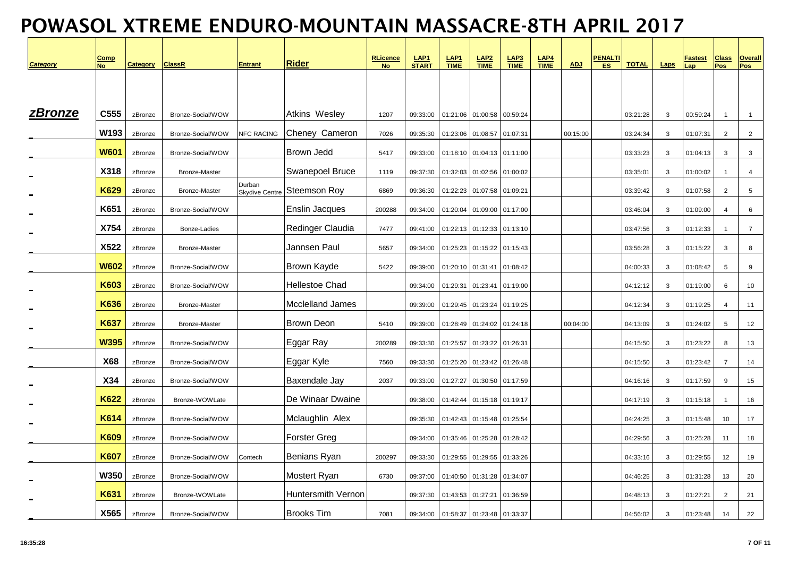| Category | <b>Comp</b><br><b>No</b> | <b>Category</b> | <b>ClassR</b>        | <b>Entrant</b>                  | <b>Rider</b>              | <b>RLicence</b><br><b>No</b> | LAP1<br>START | LAP <sub>1</sub><br><b>TIME</b> | $LAP2$<br>TIME    | $rac{\text{LAP3}}{\text{TIME}}$ | $rac{\text{LAP4}}{\text{TIME}}$ | <b>ADJ</b> | <u>PENALTI</u><br><b>ES</b> | <b>TOTAL</b> | Laps         | <b>Fastest</b><br>a <sub>p</sub> | <b>Class</b><br>Pos | Overall<br>Pos |
|----------|--------------------------|-----------------|----------------------|---------------------------------|---------------------------|------------------------------|---------------|---------------------------------|-------------------|---------------------------------|---------------------------------|------------|-----------------------------|--------------|--------------|----------------------------------|---------------------|----------------|
|          |                          |                 |                      |                                 |                           |                              |               |                                 |                   |                                 |                                 |            |                             |              |              |                                  |                     |                |
| zBronze  | C555                     | zBronze         | Bronze-Social/WOW    |                                 | Atkins Wesley             | 1207                         | 09:33:00      |                                 | 01:21:06 01:00:58 | 00:59:24                        |                                 |            |                             | 03:21:28     | 3            | 00:59:24                         | $\mathbf{1}$        | $\overline{1}$ |
|          | W193                     | zBronze         | Bronze-Social/WOW    | <b>NFC RACING</b>               | Cheney Cameron            | 7026                         | 09:35:30      | 01:23:06                        | 01:08:57          | 01:07:31                        |                                 | 00:15:00   |                             | 03:24:34     | 3            | 01:07:31                         | 2                   | $\overline{2}$ |
|          | <b>W601</b>              | zBronze         | Bronze-Social/WOW    |                                 | Brown Jedd                | 5417                         | 09:33:00      |                                 | 01:18:10 01:04:13 | 01:11:00                        |                                 |            |                             | 03:33:23     | 3            | 01:04:13                         | 3                   | 3              |
|          | X318                     | zBronze         | <b>Bronze-Master</b> |                                 | Swanepoel Bruce           | 1119                         | 09:37:30      |                                 | 01:32:03 01:02:56 | 01:00:02                        |                                 |            |                             | 03:35:01     | 3            | 01:00:02                         | $\mathbf{1}$        | 4              |
|          | <b>K629</b>              | zBronze         | Bronze-Master        | Durban<br><b>Skydive Centre</b> | <b>Steemson Roy</b>       | 6869                         | 09:36:30      | 01:22:23                        | 01:07:58          | 01:09:21                        |                                 |            |                             | 03:39:42     | 3            | 01:07:58                         | $\overline{2}$      | $\overline{5}$ |
|          | K651                     | zBronze         | Bronze-Social/WOW    |                                 | <b>Enslin Jacques</b>     | 200288                       | 09:34:00      |                                 | 01:20:04 01:09:00 | 01:17:00                        |                                 |            |                             | 03:46:04     | 3            | 01:09:00                         | $\overline{4}$      | 6              |
|          | X754                     | zBronze         | Bonze-Ladies         |                                 | Redinger Claudia          | 7477                         | 09:41:00      |                                 | 01:22:13 01:12:33 | 01:13:10                        |                                 |            |                             | 03:47:56     | 3            | 01:12:33                         | $\mathbf{1}$        | $\overline{7}$ |
|          | X522                     | zBronze         | <b>Bronze-Master</b> |                                 | Jannsen Paul              | 5657                         | 09:34:00      |                                 | 01:25:23 01:15:22 | 01:15:43                        |                                 |            |                             | 03:56:28     | 3            | 01:15:22                         | 3                   | 8              |
|          | <b>W602</b>              | zBronze         | Bronze-Social/WOW    |                                 | Brown Kayde               | 5422                         | 09:39:00      |                                 | 01:20:10 01:31:41 | 01:08:42                        |                                 |            |                             | 04:00:33     | 3            | 01:08:42                         | 5                   | 9              |
|          | <b>K603</b>              | zBronze         | Bronze-Social/WOW    |                                 | Hellestoe Chad            |                              | 09:34:00      | 01:29:31                        | 01:23:41          | 01:19:00                        |                                 |            |                             | 04:12:12     | 3            | 01:19:00                         | 6                   | 10             |
|          | <b>K636</b>              | zBronze         | Bronze-Master        |                                 | <b>Mcclelland James</b>   |                              | 09:39:00      |                                 | 01:29:45 01:23:24 | 01:19:25                        |                                 |            |                             | 04:12:34     | $\mathbf{3}$ | 01:19:25                         | $\overline{4}$      | 11             |
|          | K637                     | zBronze         | <b>Bronze-Master</b> |                                 | <b>Brown Deon</b>         | 5410                         | 09:39:00      | 01:28:49                        | 01:24:02          | 01:24:18                        |                                 | 00:04:00   |                             | 04:13:09     | 3            | 01:24:02                         | 5                   | 12             |
|          | <b>W395</b>              | zBronze         | Bronze-Social/WOW    |                                 | Eggar Ray                 | 200289                       | 09:33:30      | 01:25:57                        | 01:23:22          | 01:26:31                        |                                 |            |                             | 04:15:50     | 3            | 01:23:22                         | 8                   | 13             |
|          | <b>X68</b>               | zBronze         | Bronze-Social/WOW    |                                 | Eggar Kyle                | 7560                         | 09:33:30      |                                 | 01:25:20 01:23:42 | 01:26:48                        |                                 |            |                             | 04:15:50     | 3            | 01:23:42                         | $\overline{7}$      | 14             |
|          | X34                      | zBronze         | Bronze-Social/WOW    |                                 | Baxendale Jay             | 2037                         | 09:33:00      |                                 | 01:27:27 01:30:50 | 01:17:59                        |                                 |            |                             | 04:16:16     | 3            | 01:17:59                         | 9                   | 15             |
|          | <b>K622</b>              | zBronze         | Bronze-WOWLate       |                                 | De Winaar Dwaine          |                              | 09:38:00      |                                 | 01:42:44 01:15:18 | 01:19:17                        |                                 |            |                             | 04:17:19     | 3            | 01:15:18                         |                     | 16             |
|          | <b>K614</b>              | zBronze         | Bronze-Social/WOW    |                                 | Mclaughlin Alex           |                              | 09:35:30      |                                 | 01:42:43 01:15:48 | 01:25:54                        |                                 |            |                             | 04:24:25     | 3            | 01:15:48                         | 10                  | 17             |
|          | <b>K609</b>              | zBronze         | Bronze-Social/WOW    |                                 | <b>Forster Greg</b>       |                              | 09:34:00      |                                 | 01:35:46 01:25:28 | 01:28:42                        |                                 |            |                             | 04:29:56     | 3            | 01:25:28                         | 11                  | 18             |
|          | <b>K607</b>              | zBronze         | Bronze-Social/WOW    | Contech                         | Benians Ryan              | 200297                       | 09:33:30      |                                 | 01:29:55 01:29:55 | 01:33:26                        |                                 |            |                             | 04:33:16     | 3            | 01:29:55                         | 12                  | 19             |
|          | <b>W350</b>              | zBronze         | Bronze-Social/WOW    |                                 | Mostert Ryan              | 6730                         | 09:37:00      |                                 | 01:40:50 01:31:28 | 01:34:07                        |                                 |            |                             | 04:46:25     | 3            | 01:31:28                         | 13                  | 20             |
|          | <b>K631</b>              | zBronze         | Bronze-WOWLate       |                                 | <b>Huntersmith Vernon</b> |                              | 09:37:30      |                                 | 01:43:53 01:27:21 | 01:36:59                        |                                 |            |                             | 04:48:13     | 3            | 01:27:21                         | 2                   | 21             |
|          | X565                     | zBronze         | Bronze-Social/WOW    |                                 | <b>Brooks Tim</b>         | 7081                         | 09:34:00      |                                 | 01:58:37 01:23:48 | 01:33:37                        |                                 |            |                             | 04:56:02     | 3            | 01:23:48                         | 14                  | 22             |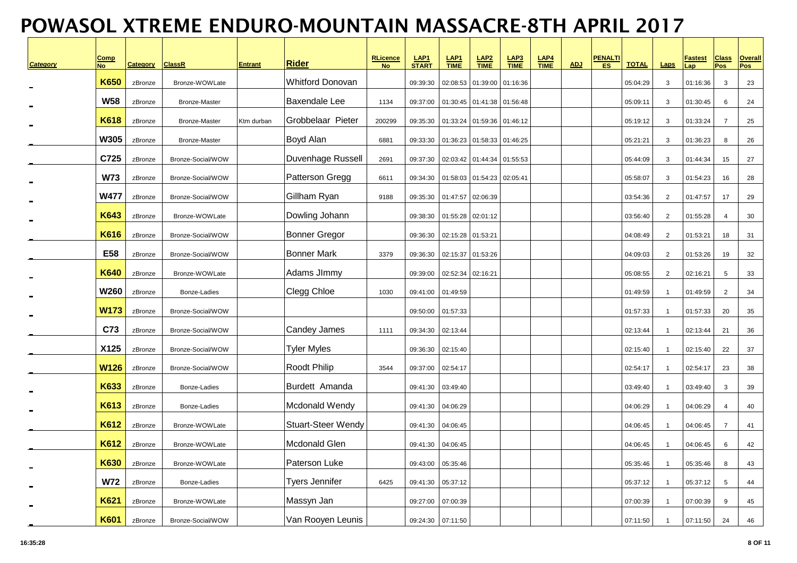| Category | <u>Comp</u><br><b>No</b> | <b>Category</b> | <b>ClassR</b>        | <b>Entrant</b> | <b>Rider</b>              | RLicence<br>No | LAP <sub>1</sub><br><b>START</b> | LAP <sub>1</sub><br><b>TIME</b> | $LAP2$<br>TIME    | $rac{\text{LAP3}}{\text{TIME}}$ | LAP <sub>4</sub><br><b>TIME</b> | <b>ADJ</b> | <b>PENALTI</b><br>ES. | <b>TOTAL</b> | Laps           | <u>Fastest</u><br>Lap | <b>Class</b><br>Pos | <b>Overall</b><br><b>Pos</b> |
|----------|--------------------------|-----------------|----------------------|----------------|---------------------------|----------------|----------------------------------|---------------------------------|-------------------|---------------------------------|---------------------------------|------------|-----------------------|--------------|----------------|-----------------------|---------------------|------------------------------|
|          | <b>K650</b>              | zBronze         | Bronze-WOWLate       |                | <b>Whitford Donovan</b>   |                | 09:39:30                         | 02:08:53                        | 01:39:00          | 01:16:36                        |                                 |            |                       | 05:04:29     | $\mathbf{3}$   | 01:16:36              | $\mathbf{3}$        | 23                           |
|          | <b>W58</b>               | zBronze         | <b>Bronze-Master</b> |                | <b>Baxendale Lee</b>      | 1134           | 09:37:00                         |                                 | 01:30:45 01:41:38 | 01:56:48                        |                                 |            |                       | 05:09:11     | 3              | 01:30:45              | 6                   | 24                           |
|          | <b>K618</b>              | zBronze         | Bronze-Master        | Ktm durban     | Grobbelaar Pieter         | 200299         | 09:35:30                         |                                 | 01:33:24 01:59:36 | 01:46:12                        |                                 |            |                       | 05:19:12     | 3              | 01:33:24              | $\overline{7}$      | 25                           |
|          | <b>W305</b>              | zBronze         | Bronze-Master        |                | Boyd Alan                 | 6881           | 09:33:30                         |                                 | 01:36:23 01:58:33 | 01:46:25                        |                                 |            |                       | 05:21:21     | $\mathbf{3}$   | 01:36:23              | 8                   | 26                           |
|          | C725                     | zBronze         | Bronze-Social/WOW    |                | Duvenhage Russell         | 2691           | 09:37:30                         |                                 | 02:03:42 01:44:34 | 01:55:53                        |                                 |            |                       | 05:44:09     | $\mathbf{3}$   | 01:44:34              | 15                  | 27                           |
|          | <b>W73</b>               | zBronze         | Bronze-Social/WOW    |                | Patterson Gregg           | 6611           | 09:34:30                         |                                 | 01:58:03 01:54:23 | 02:05:41                        |                                 |            |                       | 05:58:07     | 3              | 01:54:23              | 16                  | 28                           |
|          | <b>W477</b>              | zBronze         | Bronze-Social/WOW    |                | Gillham Ryan              | 9188           | 09:35:30                         | 01:47:57                        | 02:06:39          |                                 |                                 |            |                       | 03:54:36     | 2              | 01:47:57              | 17                  | 29                           |
|          | K643                     | zBronze         | Bronze-WOWLate       |                | Dowling Johann            |                | 09:38:30                         | 01:55:28                        | 02:01:12          |                                 |                                 |            |                       | 03:56:40     | $\overline{2}$ | 01:55:28              | $\overline{4}$      | 30                           |
|          | K616                     | zBronze         | Bronze-Social/WOW    |                | <b>Bonner Gregor</b>      |                | 09:36:30                         | 02:15:28 01:53:21               |                   |                                 |                                 |            |                       | 04:08:49     | $\overline{2}$ | 01:53:21              | 18                  | 31                           |
|          | E58                      | zBronze         | Bronze-Social/WOW    |                | <b>Bonner Mark</b>        | 3379           | 09:36:30                         |                                 | 02:15:37 01:53:26 |                                 |                                 |            |                       | 04:09:03     | $\overline{2}$ | 01:53:26              | 19                  | 32                           |
|          | <b>K640</b>              | zBronze         | Bronze-WOWLate       |                | Adams JImmy               |                | 09:39:00                         | 02:52:34                        | 02:16:21          |                                 |                                 |            |                       | 05:08:55     | 2              | 02:16:21              | 5                   | 33                           |
|          | <b>W260</b>              | zBronze         | Bonze-Ladies         |                | Clegg Chloe               | 1030           | 09:41:00                         | 01:49:59                        |                   |                                 |                                 |            |                       | 01:49:59     | $\mathbf{1}$   | 01:49:59              | 2                   | 34                           |
|          | <b>W173</b>              | zBronze         | Bronze-Social/WOW    |                |                           |                | 09:50:00                         | 01:57:33                        |                   |                                 |                                 |            |                       | 01:57:33     | $\overline{1}$ | 01:57:33              | 20                  | 35                           |
|          | C73                      | zBronze         | Bronze-Social/WOW    |                | Candey James              | 1111           | 09:34:30                         | 02:13:44                        |                   |                                 |                                 |            |                       | 02:13:44     | $\mathbf{1}$   | 02:13:44              | 21                  | 36                           |
|          | X125                     | zBronze         | Bronze-Social/WOW    |                | Tyler Myles               |                | 09:36:30                         | 02:15:40                        |                   |                                 |                                 |            |                       | 02:15:40     | $\overline{1}$ | 02:15:40              | 22                  | 37                           |
|          | <b>W126</b>              | zBronze         | Bronze-Social/WOW    |                | Roodt Philip              | 3544           | 09:37:00                         | 02:54:17                        |                   |                                 |                                 |            |                       | 02:54:17     | $\overline{1}$ | 02:54:17              | 23                  | 38                           |
|          | <b>K633</b>              | zBronze         | Bonze-Ladies         |                | Burdett Amanda            |                | 09:41:30                         | 03:49:40                        |                   |                                 |                                 |            |                       | 03:49:40     | $\overline{1}$ | 03:49:40              | $\mathbf{3}$        | 39                           |
|          | <b>K613</b>              | zBronze         | Bonze-Ladies         |                | Mcdonald Wendy            |                | 09:41:30                         | 04:06:29                        |                   |                                 |                                 |            |                       | 04:06:29     | $\overline{1}$ | 04:06:29              | 4                   | 40                           |
|          | K612                     | zBronze         | Bronze-WOWLate       |                | <b>Stuart-Steer Wendy</b> |                | 09:41:30                         | 04:06:45                        |                   |                                 |                                 |            |                       | 04:06:45     | $\overline{1}$ | 04:06:45              | $\overline{7}$      | 41                           |
|          | K612                     | zBronze         | Bronze-WOWLate       |                | Mcdonald Glen             |                | 09:41:30                         | 04:06:45                        |                   |                                 |                                 |            |                       | 04:06:45     | $\overline{1}$ | 04:06:45              | 6                   | 42                           |
|          | K630                     | zBronze         | Bronze-WOWLate       |                | Paterson Luke             |                | 09:43:00                         | 05:35:46                        |                   |                                 |                                 |            |                       | 05:35:46     | $\overline{1}$ | 05:35:46              | 8                   | 43                           |
|          | <b>W72</b>               | zBronze         | Bonze-Ladies         |                | <b>Tyers Jennifer</b>     | 6425           | 09:41:30                         | 05:37:12                        |                   |                                 |                                 |            |                       | 05:37:12     | $\overline{1}$ | 05:37:12              | 5                   | 44                           |
|          | <b>K621</b>              | zBronze         | Bronze-WOWLate       |                | Massyn Jan                |                | 09:27:00                         | 07:00:39                        |                   |                                 |                                 |            |                       | 07:00:39     | $\overline{1}$ | 07:00:39              | 9                   | 45                           |
|          | K601                     | zBronze         | Bronze-Social/WOW    |                | Van Rooyen Leunis         |                | 09:24:30                         | 07:11:50                        |                   |                                 |                                 |            |                       | 07:11:50     | $\overline{1}$ | 07:11:50              | 24                  | 46                           |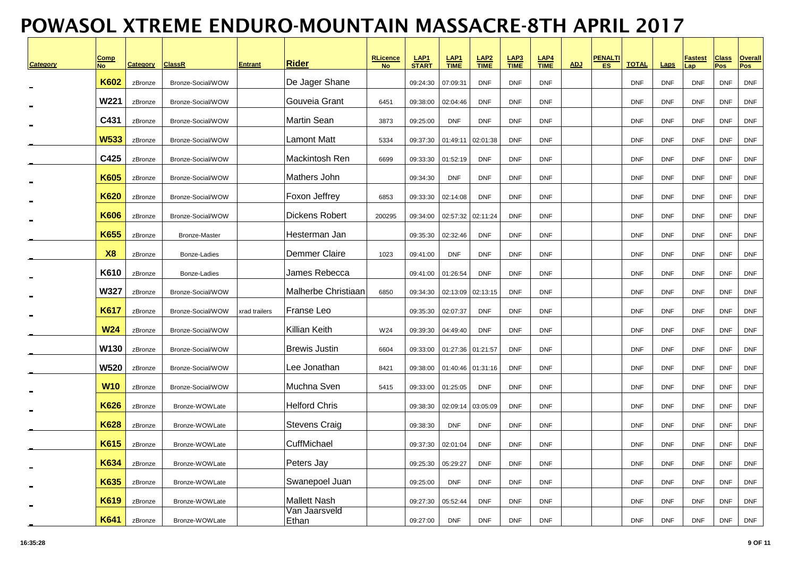| <b>Category</b> | <b>Comp</b><br><b>No</b> | <b>Category</b>    | <b>ClassR</b>                          | <b>Entrant</b> | <b>Rider</b>           | <b>RLicence</b><br><b>No</b> | LAP <sub>1</sub><br><b>START</b> | LAP <sub>1</sub><br><b>TIME</b> | $LAP2\nTIME$             | LAP <sub>3</sub><br><b>TIME</b> | $rac{\text{LAP4}}{\text{TIME}}$ | <b>ADJ</b> | <b>PENALTI</b><br>ES. | <b>TOTAL</b>             | Laps                     | <u>Fastest</u><br>Lap    | <b>Class</b><br><b>Pos</b> | <b>Overall</b><br><b>Pos</b> |
|-----------------|--------------------------|--------------------|----------------------------------------|----------------|------------------------|------------------------------|----------------------------------|---------------------------------|--------------------------|---------------------------------|---------------------------------|------------|-----------------------|--------------------------|--------------------------|--------------------------|----------------------------|------------------------------|
|                 | <b>K602</b>              |                    |                                        |                | De Jager Shane         |                              |                                  |                                 |                          |                                 |                                 |            |                       |                          |                          |                          |                            |                              |
|                 | <b>W221</b>              | zBronze<br>zBronze | Bronze-Social/WOW<br>Bronze-Social/WOW |                | Gouveia Grant          | 6451                         | 09:24:30<br>09:38:00             | 07:09:31<br>02:04:46            | <b>DNF</b><br><b>DNF</b> | <b>DNF</b><br><b>DNF</b>        | <b>DNF</b><br><b>DNF</b>        |            |                       | <b>DNF</b><br><b>DNF</b> | <b>DNF</b><br><b>DNF</b> | <b>DNF</b><br><b>DNF</b> | <b>DNF</b><br><b>DNF</b>   | <b>DNF</b><br><b>DNF</b>     |
|                 | C431                     | zBronze            | Bronze-Social/WOW                      |                | Martin Sean            | 3873                         | 09:25:00                         | <b>DNF</b>                      | <b>DNF</b>               | <b>DNF</b>                      | <b>DNF</b>                      |            |                       | <b>DNF</b>               | <b>DNF</b>               | <b>DNF</b>               | <b>DNF</b>                 | <b>DNF</b>                   |
|                 | <b>W533</b>              | zBronze            | Bronze-Social/WOW                      |                | Lamont Matt            | 5334                         | 09:37:30                         | 01:49:11                        | 02:01:38                 | <b>DNF</b>                      | <b>DNF</b>                      |            |                       | <b>DNF</b>               | <b>DNF</b>               | <b>DNF</b>               | <b>DNF</b>                 | <b>DNF</b>                   |
|                 | C425                     | zBronze            | Bronze-Social/WOW                      |                | Mackintosh Ren         | 6699                         | 09:33:30                         | 01:52:19                        | <b>DNF</b>               | <b>DNF</b>                      | <b>DNF</b>                      |            |                       | <b>DNF</b>               | <b>DNF</b>               | <b>DNF</b>               | <b>DNF</b>                 | <b>DNF</b>                   |
|                 | K605                     | zBronze            | Bronze-Social/WOW                      |                | Mathers John           |                              | 09:34:30                         | <b>DNF</b>                      | <b>DNF</b>               | <b>DNF</b>                      | <b>DNF</b>                      |            |                       | <b>DNF</b>               | <b>DNF</b>               | <b>DNF</b>               | <b>DNF</b>                 | <b>DNF</b>                   |
|                 | K620                     | zBronze            | Bronze-Social/WOW                      |                | Foxon Jeffrey          | 6853                         | 09:33:30                         | 02:14:08                        | <b>DNF</b>               | <b>DNF</b>                      | <b>DNF</b>                      |            |                       | <b>DNF</b>               | <b>DNF</b>               | <b>DNF</b>               | <b>DNF</b>                 | <b>DNF</b>                   |
|                 | <b>K606</b>              | zBronze            | Bronze-Social/WOW                      |                | <b>Dickens Robert</b>  | 200295                       | 09:34:00                         | 02:57:32                        | 02:11:24                 | <b>DNF</b>                      | <b>DNF</b>                      |            |                       | <b>DNF</b>               | <b>DNF</b>               | <b>DNF</b>               | <b>DNF</b>                 | <b>DNF</b>                   |
|                 | K655                     | zBronze            | <b>Bronze-Master</b>                   |                | Hesterman Jan          |                              | 09:35:30                         | 02:32:46                        | <b>DNF</b>               | <b>DNF</b>                      | <b>DNF</b>                      |            |                       | <b>DNF</b>               | <b>DNF</b>               | <b>DNF</b>               | <b>DNF</b>                 | <b>DNF</b>                   |
|                 | <b>X8</b>                | zBronze            | Bonze-Ladies                           |                | <b>Demmer Claire</b>   | 1023                         | 09:41:00                         | <b>DNF</b>                      | <b>DNF</b>               | <b>DNF</b>                      | <b>DNF</b>                      |            |                       | <b>DNF</b>               | <b>DNF</b>               | <b>DNF</b>               | <b>DNF</b>                 | <b>DNF</b>                   |
|                 | K610                     | zBronze            | Bonze-Ladies                           |                | James Rebecca          |                              | 09:41:00                         | 01:26:54                        | <b>DNF</b>               | <b>DNF</b>                      | <b>DNF</b>                      |            |                       | <b>DNF</b>               | <b>DNF</b>               | <b>DNF</b>               | <b>DNF</b>                 | <b>DNF</b>                   |
|                 | <b>W327</b>              | zBronze            | Bronze-Social/WOW                      |                | Malherbe Christiaan    | 6850                         | 09:34:30                         | 02:13:09                        | 02:13:15                 | <b>DNF</b>                      | <b>DNF</b>                      |            |                       | <b>DNF</b>               | <b>DNF</b>               | <b>DNF</b>               | <b>DNF</b>                 | <b>DNF</b>                   |
|                 | <b>K617</b>              | zBronze            | Bronze-Social/WOW                      | xrad trailers  | Franse Leo             |                              | 09:35:30                         | 02:07:37                        | <b>DNF</b>               | <b>DNF</b>                      | <b>DNF</b>                      |            |                       | <b>DNF</b>               | <b>DNF</b>               | <b>DNF</b>               | <b>DNF</b>                 | <b>DNF</b>                   |
|                 | <b>W24</b>               | zBronze            | Bronze-Social/WOW                      |                | Killian Keith          | W24                          | 09:39:30                         | 04:49:40                        | <b>DNF</b>               | <b>DNF</b>                      | <b>DNF</b>                      |            |                       | <b>DNF</b>               | <b>DNF</b>               | <b>DNF</b>               | <b>DNF</b>                 | <b>DNF</b>                   |
|                 | W130                     | zBronze            | Bronze-Social/WOW                      |                | <b>Brewis Justin</b>   | 6604                         | 09:33:00                         |                                 | 01:27:36 01:21:57        | <b>DNF</b>                      | <b>DNF</b>                      |            |                       | <b>DNF</b>               | <b>DNF</b>               | <b>DNF</b>               | <b>DNF</b>                 | <b>DNF</b>                   |
|                 | <b>W520</b>              | zBronze            | Bronze-Social/WOW                      |                | Lee Jonathan           | 8421                         | 09:38:00                         | 01:40:46                        | 01:31:16                 | <b>DNF</b>                      | <b>DNF</b>                      |            |                       | <b>DNF</b>               | <b>DNF</b>               | <b>DNF</b>               | <b>DNF</b>                 | <b>DNF</b>                   |
|                 | <b>W10</b>               | zBronze            | Bronze-Social/WOW                      |                | Muchna Sven            | 5415                         | 09:33:00                         | 01:25:05                        | <b>DNF</b>               | <b>DNF</b>                      | <b>DNF</b>                      |            |                       | <b>DNF</b>               | <b>DNF</b>               | <b>DNF</b>               | <b>DNF</b>                 | <b>DNF</b>                   |
|                 | <b>K626</b>              | zBronze            | Bronze-WOWLate                         |                | <b>Helford Chris</b>   |                              | 09:38:30                         | 02:09:14                        | 03:05:09                 | <b>DNF</b>                      | <b>DNF</b>                      |            |                       | <b>DNF</b>               | <b>DNF</b>               | <b>DNF</b>               | <b>DNF</b>                 | <b>DNF</b>                   |
|                 | K628                     | zBronze            | Bronze-WOWLate                         |                | Stevens Craig          |                              | 09:38:30                         | <b>DNF</b>                      | <b>DNF</b>               | <b>DNF</b>                      | <b>DNF</b>                      |            |                       | <b>DNF</b>               | <b>DNF</b>               | <b>DNF</b>               | <b>DNF</b>                 | <b>DNF</b>                   |
|                 | K615                     | zBronze            | Bronze-WOWLate                         |                | CuffMichael            |                              | 09:37:30                         | 02:01:04                        | <b>DNF</b>               | <b>DNF</b>                      | <b>DNF</b>                      |            |                       | <b>DNF</b>               | <b>DNF</b>               | <b>DNF</b>               | <b>DNF</b>                 | <b>DNF</b>                   |
|                 | K634                     | zBronze            | Bronze-WOWLate                         |                | Peters Jay             |                              | 09:25:30                         | 05:29:27                        | <b>DNF</b>               | <b>DNF</b>                      | <b>DNF</b>                      |            |                       | <b>DNF</b>               | <b>DNF</b>               | <b>DNF</b>               | <b>DNF</b>                 | <b>DNF</b>                   |
|                 | K635                     | zBronze            | Bronze-WOWLate                         |                | Swanepoel Juan         |                              | 09:25:00                         | <b>DNF</b>                      | <b>DNF</b>               | <b>DNF</b>                      | <b>DNF</b>                      |            |                       | <b>DNF</b>               | <b>DNF</b>               | <b>DNF</b>               | <b>DNF</b>                 | <b>DNF</b>                   |
|                 | K619                     | zBronze            | Bronze-WOWLate                         |                | <b>Mallett Nash</b>    |                              | 09:27:30                         | 05:52:44                        | <b>DNF</b>               | <b>DNF</b>                      | <b>DNF</b>                      |            |                       | <b>DNF</b>               | <b>DNF</b>               | <b>DNF</b>               | <b>DNF</b>                 | <b>DNF</b>                   |
|                 | K641                     | zBronze            | Bronze-WOWLate                         |                | Van Jaarsveld<br>Ethan |                              | 09:27:00                         | <b>DNF</b>                      | <b>DNF</b>               | <b>DNF</b>                      | <b>DNF</b>                      |            |                       | <b>DNF</b>               | <b>DNF</b>               | <b>DNF</b>               | <b>DNF</b>                 | <b>DNF</b>                   |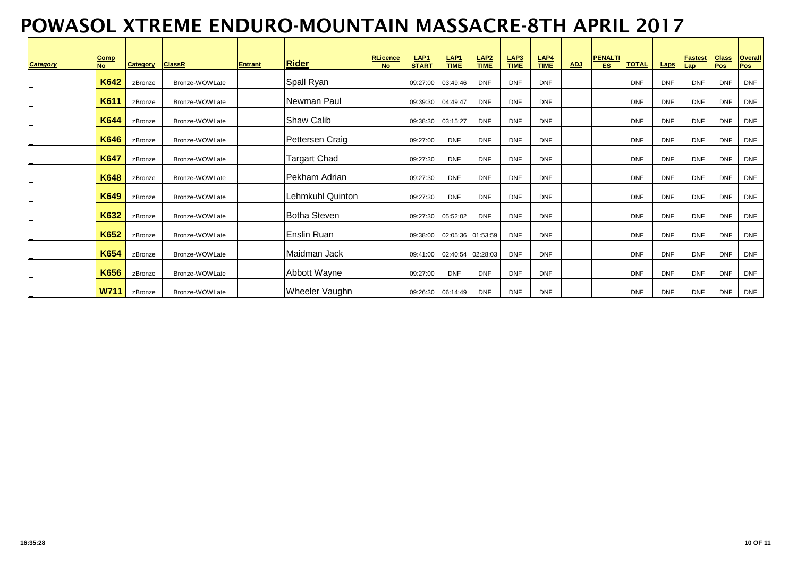| <b>Category</b> | Comp<br>$\overline{N}$ | <b>Category</b> | <b>ClassR</b>  | <b>Entrant</b> | <b>Rider</b>            | <b>RLicence</b><br><b>No</b> | <b>LAP1</b><br><b>START</b> | $rac{\text{LAP1}}{\text{TIME}}$ | $rac{\mathsf{LAP2}}{\mathsf{TIME}}$ | $LAP3\nTIME$ | LAP4<br><b>TIME</b> | <b>ADJ</b> | <b>PENALTI</b><br>ES | <b>TOTAL</b> | Laps       | <b>Fastest</b><br>Lap | <b>Class</b><br>Pos | <b>Overall</b><br><b>Pos</b> |
|-----------------|------------------------|-----------------|----------------|----------------|-------------------------|------------------------------|-----------------------------|---------------------------------|-------------------------------------|--------------|---------------------|------------|----------------------|--------------|------------|-----------------------|---------------------|------------------------------|
|                 | K642                   | zBronze         | Bronze-WOWLate |                | Spall Ryan              |                              | 09:27:00                    | 03:49:46                        | <b>DNF</b>                          | <b>DNF</b>   | <b>DNF</b>          |            |                      | <b>DNF</b>   | <b>DNF</b> | <b>DNF</b>            | <b>DNF</b>          | <b>DNF</b>                   |
|                 | K611                   | zBronze         | Bronze-WOWLate |                | Newman Paul             |                              |                             | 09:39:30 04:49:47               | <b>DNF</b>                          | <b>DNF</b>   | <b>DNF</b>          |            |                      | <b>DNF</b>   | <b>DNF</b> | <b>DNF</b>            | <b>DNF</b>          | <b>DNF</b>                   |
| $\blacksquare$  | K644                   | zBronze         | Bronze-WOWLate |                | <b>Shaw Calib</b>       |                              | 09:38:30                    | 03:15:27                        | <b>DNF</b>                          | <b>DNF</b>   | <b>DNF</b>          |            |                      | <b>DNF</b>   | <b>DNF</b> | <b>DNF</b>            | <b>DNF</b>          | <b>DNF</b>                   |
|                 | K646                   | zBronze         | Bronze-WOWLate |                | Pettersen Craig         |                              | 09:27:00                    | <b>DNF</b>                      | <b>DNF</b>                          | <b>DNF</b>   | <b>DNF</b>          |            |                      | <b>DNF</b>   | <b>DNF</b> | <b>DNF</b>            | <b>DNF</b>          | <b>DNF</b>                   |
|                 | <b>K647</b>            | zBronze         | Bronze-WOWLate |                | <b>Targart Chad</b>     |                              | 09:27:30                    | <b>DNF</b>                      | <b>DNF</b>                          | <b>DNF</b>   | <b>DNF</b>          |            |                      | <b>DNF</b>   | <b>DNF</b> | <b>DNF</b>            | <b>DNF</b>          | <b>DNF</b>                   |
|                 | K648                   | zBronze         | Bronze-WOWLate |                | Pekham Adrian           |                              | 09:27:30                    | <b>DNF</b>                      | <b>DNF</b>                          | <b>DNF</b>   | <b>DNF</b>          |            |                      | <b>DNF</b>   | <b>DNF</b> | <b>DNF</b>            | <b>DNF</b>          | <b>DNF</b>                   |
| ۰               | K649                   | zBronze         | Bronze-WOWLate |                | <b>Lehmkuhl Quinton</b> |                              | 09:27:30                    | <b>DNF</b>                      | <b>DNF</b>                          | <b>DNF</b>   | <b>DNF</b>          |            |                      | <b>DNF</b>   | <b>DNF</b> | <b>DNF</b>            | <b>DNF</b>          | <b>DNF</b>                   |
| $\blacksquare$  | K632                   | zBronze         | Bronze-WOWLate |                | <b>Botha Steven</b>     |                              |                             | 09:27:30  05:52:02              | <b>DNF</b>                          | <b>DNF</b>   | <b>DNF</b>          |            |                      | <b>DNF</b>   | <b>DNF</b> | <b>DNF</b>            | <b>DNF</b>          | <b>DNF</b>                   |
|                 | K652                   | zBronze         | Bronze-WOWLate |                | Enslin Ruan             |                              |                             | 09:38:00 02:05:36 01:53:59      |                                     | <b>DNF</b>   | <b>DNF</b>          |            |                      | <b>DNF</b>   | <b>DNF</b> | <b>DNF</b>            | <b>DNF</b>          | <b>DNF</b>                   |
|                 | K654                   | zBronze         | Bronze-WOWLate |                | Maidman Jack            |                              | 09:41:00                    | 02:40:54 02:28:03               |                                     | <b>DNF</b>   | <b>DNF</b>          |            |                      | <b>DNF</b>   | <b>DNF</b> | <b>DNF</b>            | <b>DNF</b>          | <b>DNF</b>                   |
|                 | K656                   | zBronze         | Bronze-WOWLate |                | Abbott Wayne            |                              | 09:27:00                    | <b>DNF</b>                      | <b>DNF</b>                          | <b>DNF</b>   | <b>DNF</b>          |            |                      | <b>DNF</b>   | <b>DNF</b> | <b>DNF</b>            | <b>DNF</b>          | <b>DNF</b>                   |
| ۰               | <b>W711</b>            | zBronze         | Bronze-WOWLate |                | Wheeler Vaughn          |                              |                             | 09:26:30  06:14:49              | <b>DNF</b>                          | <b>DNF</b>   | <b>DNF</b>          |            |                      | <b>DNF</b>   | <b>DNF</b> | <b>DNF</b>            | <b>DNF</b>          | <b>DNF</b>                   |